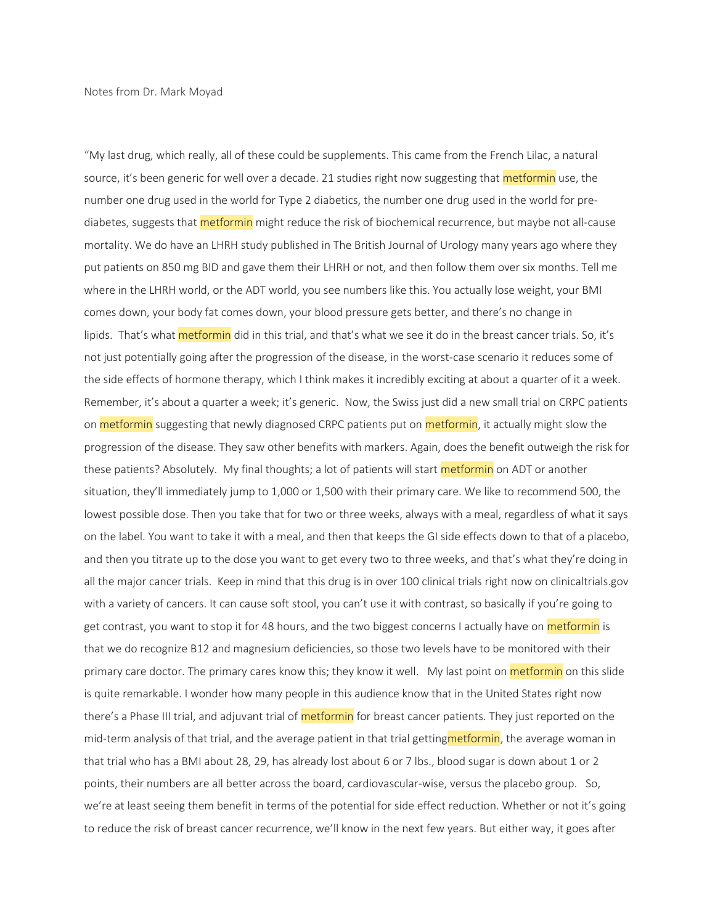"My last drug, which really, all of these could be supplements. This came from the French Lilac, a natural source, it's been generic for well over a decade. 21 studies right now suggesting that metformin use, the number one drug used in the world for Type 2 diabetics, the number one drug used in the world for prediabetes, suggests that **metformin** might reduce the risk of biochemical recurrence, but maybe not all-cause mortality. We do have an LHRH study published in The British Journal of Urology many years ago where they put patients on 850 mg BID and gave them their LHRH or not, and then follow them over six months. Tell me where in the LHRH world, or the ADT world, you see numbers like this. You actually lose weight, your BMI comes down, your body fat comes down, your blood pressure gets better, and there's no change in lipids. That's what *metformin* did in this trial, and that's what we see it do in the breast cancer trials. So, it's not just potentially going after the progression of the disease, in the worst-case scenario it reduces some of the side effects of hormone therapy, which I think makes it incredibly exciting at about a quarter of it a week. Remember, it's about a quarter a week; it's generic. Now, the Swiss just did a new small trial on CRPC patients on metformin suggesting that newly diagnosed CRPC patients put on metformin, it actually might slow the progression of the disease. They saw other benefits with markers. Again, does the benefit outweigh the risk for these patients? Absolutely. My final thoughts; a lot of patients will start metformin on ADT or another situation, they'll immediately jump to 1,000 or 1,500 with their primary care. We like to recommend 500, the lowest possible dose. Then you take that for two or three weeks, always with a meal, regardless of what it says on the label. You want to take it with a meal, and then that keeps the GI side effects down to that of a placebo, and then you titrate up to the dose you want to get every two to three weeks, and that's what they're doing in all the major cancer trials. Keep in mind that this drug is in over 100 clinical trials right now on clinicaltrials.gov with a variety of cancers. It can cause soft stool, you can't use it with contrast, so basically if you're going to get contrast, you want to stop it for 48 hours, and the two biggest concerns I actually have on metformin is that we do recognize B12 and magnesium deficiencies, so those two levels have to be monitored with their primary care doctor. The primary cares know this; they know it well. My last point on **metformin** on this slide is quite remarkable. I wonder how many people in this audience know that in the United States right now there's a Phase III trial, and adjuvant trial of **metformin** for breast cancer patients. They just reported on the mid-term analysis of that trial, and the average patient in that trial gettingmetformin, the average woman in that trial who has a BMI about 28, 29, has already lost about 6 or 7 lbs., blood sugar is down about 1 or 2 points, their numbers are all better across the board, cardiovascular-wise, versus the placebo group. So, we're at least seeing them benefit in terms of the potential for side effect reduction. Whether or not it's going to reduce the risk of breast cancer recurrence, we'll know in the next few years. But either way, it goes after